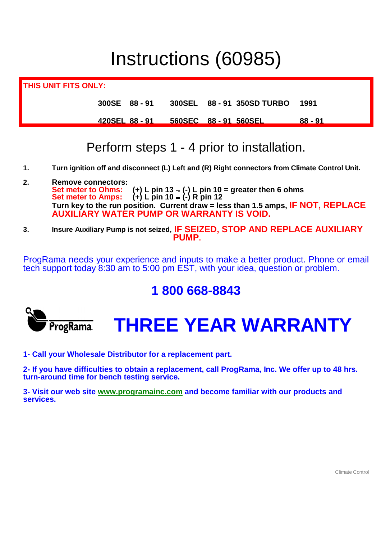# Instructions (60985)

**THIS UNIT FITS ONLY: 300SE 88 - 91 300SEL 88 - 91 350SD TURBO 1991 420SEL 88 - 91 560SEC 88 - 91 560SEL 88 - 91**

## Perform steps 1 - 4 prior to installation.

- **1. Turn ignition off and disconnect (L) Left and (R) Right connectors from Climate Control Unit.**
- **2. Remove connectors: Set meter to Ohms: (-) L pin 10 = greater then 6 ohms Set meter to Amps: (-) R pin 12 Turn key to the run position. Current draw = less than 1.5 amps, IF NOT, REPLACE AUXILIARY WATER PUMP OR WARRANTY IS VOID.**
- **3. Insure Auxiliary Pump is not seized, IF SEIZED, STOP AND REPLACE AUXILIARY PUMP.**

ProgRama needs your experience and inputs to make a better product. Phone or email tech support today 8:30 am to 5:00 pm EST, with your idea, question or problem.

### **1 800 668-8843**

ProgRama

# **THREE YEAR WARRANTY**

**1- Call your Wholesale Distributor for a replacement part.**

**2- If you have difficulties to obtain a replacement, call ProgRama, Inc. We offer up to 48 hrs. turn-around time for bench testing service.**

**3- Visit our web site www.programainc.com and become familiar with our products and services.**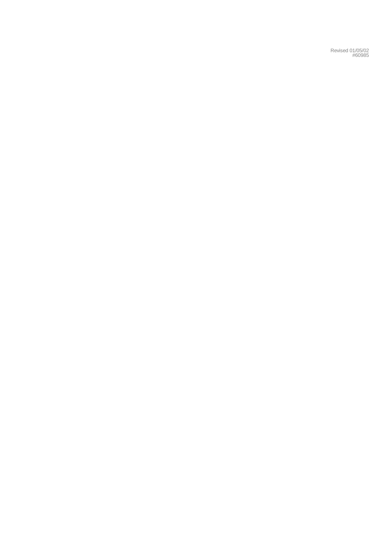Revised 01/05/02 #60985